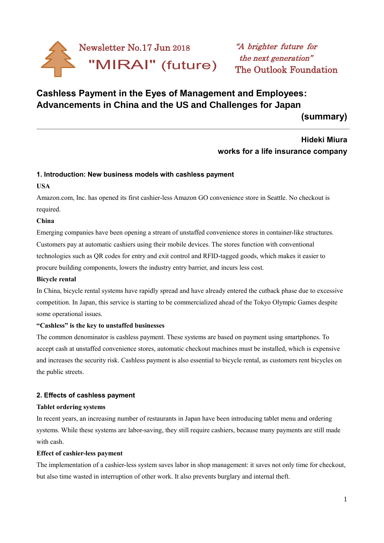

# **Cashless Payment in the Eyes of Management and Employees: Advancements in China and the US and Challenges for Japan**

**(summary)**

# **Hideki Miura works for a life insurance company**

# **1. Introduction: New business models with cashless payment**

#### **USA**

í

Amazon.com, Inc. has opened its first cashier-less Amazon GO convenience store in Seattle. No checkout is required.

# **China**

Emerging companies have been opening a stream of unstaffed convenience stores in container-like structures. Customers pay at automatic cashiers using their mobile devices. The stores function with conventional technologies such as QR codes for entry and exit control and RFID-tagged goods, which makes it easier to procure building components, lowers the industry entry barrier, and incurs less cost.

# **Bicycle rental**

In China, bicycle rental systems have rapidly spread and have already entered the cutback phase due to excessive competition. In Japan, this service is starting to be commercialized ahead of the Tokyo Olympic Games despite some operational issues.

# **"Cashless" is the key to unstaffed businesses**

The common denominator is cashless payment. These systems are based on payment using smartphones. To accept cash at unstaffed convenience stores, automatic checkout machines must be installed, which is expensive and increases the security risk. Cashless payment is also essential to bicycle rental, as customers rent bicycles on the public streets.

# **2. Effects of cashless payment**

#### **Tablet ordering systems**

In recent years, an increasing number of restaurants in Japan have been introducing tablet menu and ordering systems. While these systems are labor-saving, they still require cashiers, because many payments are still made with cash.

#### **Effect of cashier-less payment**

The implementation of a cashier-less system saves labor in shop management: it saves not only time for checkout, but also time wasted in interruption of other work. It also prevents burglary and internal theft.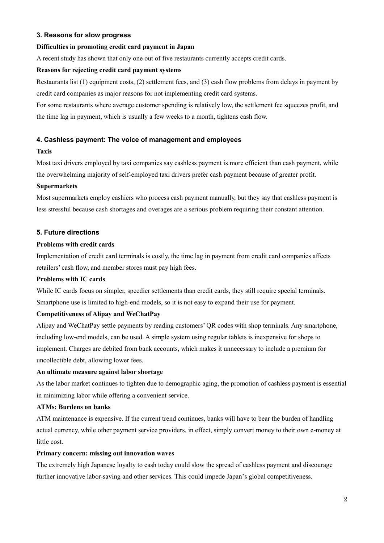# **3. Reasons for slow progress**

# **Difficulties in promoting credit card payment in Japan**

A recent study has shown that only one out of five restaurants currently accepts credit cards.

# **Reasons for rejecting credit card payment systems**

Restaurants list (1) equipment costs, (2) settlement fees, and (3) cash flow problems from delays in payment by credit card companies as major reasons for not implementing credit card systems.

For some restaurants where average customer spending is relatively low, the settlement fee squeezes profit, and the time lag in payment, which is usually a few weeks to a month, tightens cash flow.

# **4. Cashless payment: The voice of management and employees**

# **Taxis**

Most taxi drivers employed by taxi companies say cashless payment is more efficient than cash payment, while the overwhelming majority of self-employed taxi drivers prefer cash payment because of greater profit.

# **Supermarkets**

Most supermarkets employ cashiers who process cash payment manually, but they say that cashless payment is less stressful because cash shortages and overages are a serious problem requiring their constant attention.

# **5. Future directions**

# **Problems with credit cards**

Implementation of credit card terminals is costly, the time lag in payment from credit card companies affects retailers' cash flow, and member stores must pay high fees.

# **Problems with IC cards**

While IC cards focus on simpler, speedier settlements than credit cards, they still require special terminals. Smartphone use is limited to high-end models, so it is not easy to expand their use for payment.

# **Competitiveness of Alipay and WeChatPay**

Alipay and WeChatPay settle payments by reading customers' QR codes with shop terminals. Any smartphone, including low-end models, can be used. A simple system using regular tablets is inexpensive for shops to implement. Charges are debited from bank accounts, which makes it unnecessary to include a premium for uncollectible debt, allowing lower fees.

# **An ultimate measure against labor shortage**

As the labor market continues to tighten due to demographic aging, the promotion of cashless payment is essential in minimizing labor while offering a convenient service.

# **ATMs: Burdens on banks**

ATM maintenance is expensive. If the current trend continues, banks will have to bear the burden of handling actual currency, while other payment service providers, in effect, simply convert money to their own e-money at little cost.

# **Primary concern: missing out innovation waves**

The extremely high Japanese loyalty to cash today could slow the spread of cashless payment and discourage further innovative labor-saving and other services. This could impede Japan's global competitiveness.